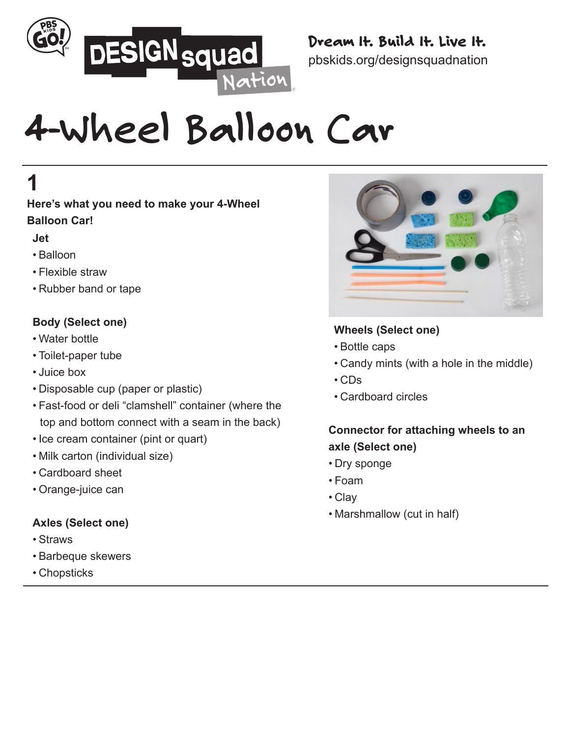

#### Dream It. Build It. Live It. pbskids.org/designsquadnation

# **4-Wheel Balloon Car**

# **1**

**Here's what you need to make your 4-Wheel Balloon Car!**

#### **Jet**

- Balloon
- Flexible straw
- Rubber band or tape

#### **Body (Select one)**

- Water bottle
- Toilet-paper tube
- Juice box
- Disposable cup (paper or plastic)
- Fast-food or deli "clamshell" container (where the top and bottom connect with a seam in the back)
- Ice cream container (pint or quart)
- Milk carton (individual size)
- Cardboard sheet
- Orange-juice can

#### **Axles (Select one)**

- Straws
- Barbeque skewers
- Chopsticks



#### **Wheels (Select one)**

- Bottle caps
- Candy mints (with a hole in the middle)
- CDs
- Cardboard circles

#### **Connector for attaching wheels to an axle (Select one)**

- Dry sponge
- Foam
- Clay
- Marshmallow (cut in half)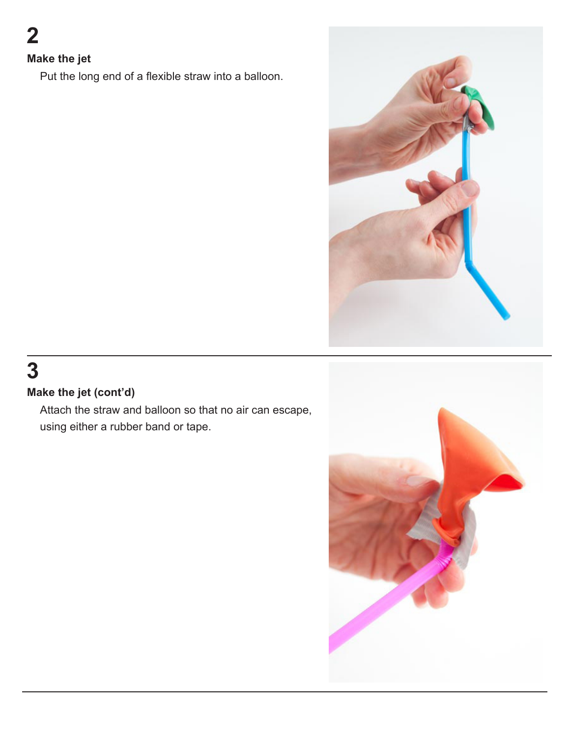#### **Make the jet**

Put the long end of a flexible straw into a balloon.



## **3**

#### **Make the jet (cont'd)**

Attach the straw and balloon so that no air can escape, using either a rubber band or tape.

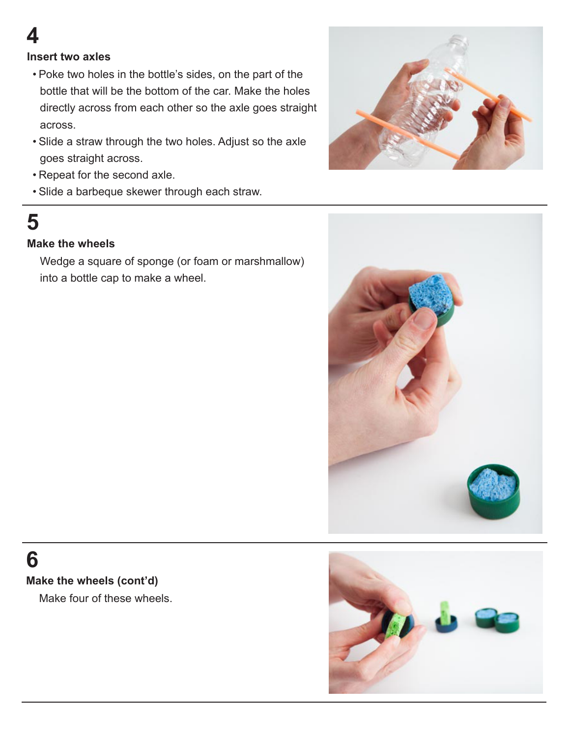#### **Insert two axles**

- Poke two holes in the bottle's sides, on the part of the bottle that will be the bottom of the car. Make the holes directly across from each other so the axle goes straight across.
- Slide a straw through the two holes. Adjust so the axle goes straight across.
- Repeat for the second axle.
- Slide a barbeque skewer through each straw.



# **5**

#### **Make the wheels**

Wedge a square of sponge (or foam or marshmallow) into a bottle cap to make a wheel.



### **6**

#### **Make the wheels (cont'd)**

Make four of these wheels.

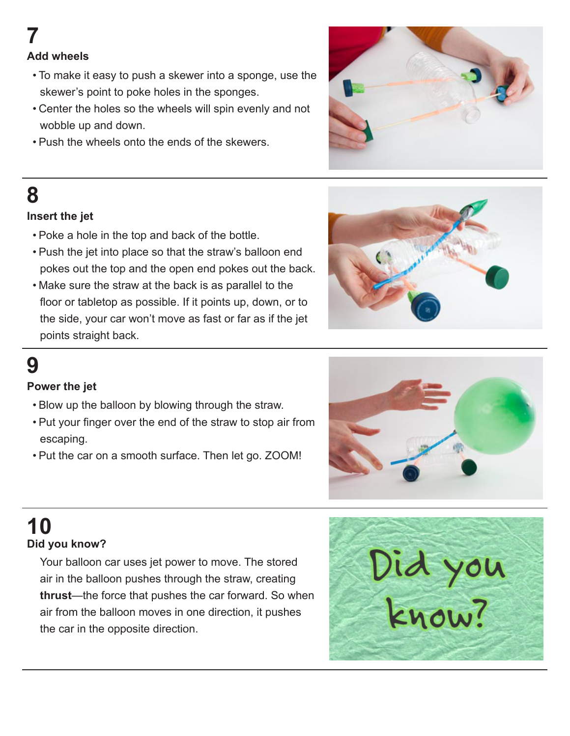#### **Add wheels**

- To make it easy to push a skewer into a sponge, use the skewer's point to poke holes in the sponges.
- Center the holes so the wheels will spin evenly and not wobble up and down.
- Push the wheels onto the ends of the skewers.



### **8**

#### **Insert the jet**

- Poke a hole in the top and back of the bottle.
- Push the jet into place so that the straw's balloon end pokes out the top and the open end pokes out the back.
- Make sure the straw at the back is as parallel to the floor or tabletop as possible. If it points up, down, or to the side, your car won't move as fast or far as if the jet points straight back.



### **9**

#### **Power the jet**

- Blow up the balloon by blowing through the straw.
- Put your finger over the end of the straw to stop air from escaping.
- Put the car on a smooth surface. Then let go. ZOOM!



# **10**

#### **Did you know?**

Your balloon car uses jet power to move. The stored air in the balloon pushes through the straw, creating **thrust**—the force that pushes the car forward. So when air from the balloon moves in one direction, it pushes the car in the opposite direction.